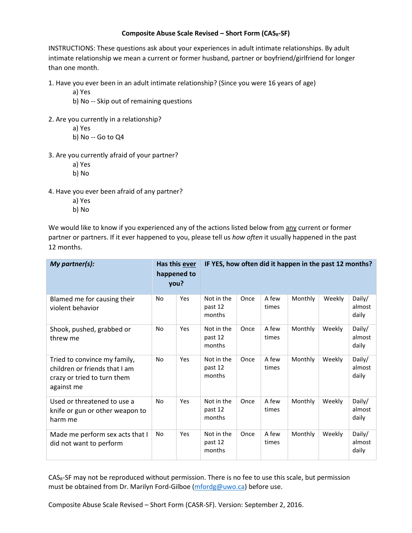## **Composite Abuse Scale Revised – Short Form (CASR-SF)**

INSTRUCTIONS: These questions ask about your experiences in adult intimate relationships. By adult intimate relationship we mean a current or former husband, partner or boyfriend/girlfriend for longer than one month.

1. Have you ever been in an adult intimate relationship? (Since you were 16 years of age)

a) Yes

- b) No -- Skip out of remaining questions
- 2. Are you currently in a relationship?
	- a) Yes
	- b) No -- Go to Q4
- 3. Are you currently afraid of your partner?
	- a) Yes
	- b) No
- 4. Have you ever been afraid of any partner?
	- a) Yes
	- b) No

We would like to know if you experienced any of the actions listed below from any current or former partner or partners. If it ever happened to you, please tell us *how often* it usually happened in the past 12 months.

| My partner(s):                                                                                             | Has this ever<br>happened to<br>you? |     | IF YES, how often did it happen in the past 12 months? |      |                |         |        |                           |
|------------------------------------------------------------------------------------------------------------|--------------------------------------|-----|--------------------------------------------------------|------|----------------|---------|--------|---------------------------|
| Blamed me for causing their<br>violent behavior                                                            | No                                   | Yes | Not in the<br>past 12<br>months                        | Once | A few<br>times | Monthly | Weekly | Daily/<br>almost<br>daily |
| Shook, pushed, grabbed or<br>threw me                                                                      | No                                   | Yes | Not in the<br>past 12<br>months                        | Once | A few<br>times | Monthly | Weekly | Daily/<br>almost<br>daily |
| Tried to convince my family,<br>children or friends that I am<br>crazy or tried to turn them<br>against me | No                                   | Yes | Not in the<br>past 12<br>months                        | Once | A few<br>times | Monthly | Weekly | Daily/<br>almost<br>daily |
| Used or threatened to use a<br>knife or gun or other weapon to<br>harm me                                  | No                                   | Yes | Not in the<br>past 12<br>months                        | Once | A few<br>times | Monthly | Weekly | Daily/<br>almost<br>daily |
| Made me perform sex acts that I<br>did not want to perform                                                 | No                                   | Yes | Not in the<br>past 12<br>months                        | Once | A few<br>times | Monthly | Weekly | Daily/<br>almost<br>daily |

CASR-SF may not be reproduced without permission. There is no fee to use this scale, but permission must be obtained from Dr. Marilyn Ford-Gilboe [\(mfordg@uwo.ca\)](mailto:mfordg@uwo.ca) before use.

Composite Abuse Scale Revised – Short Form (CASR-SF). Version: September 2, 2016.